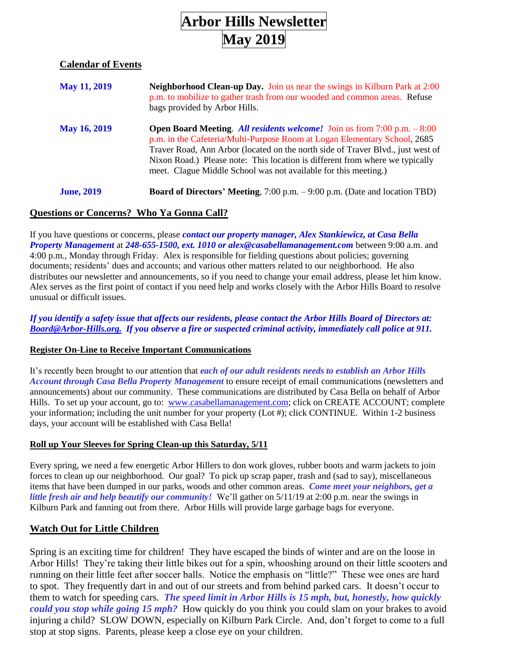# **Arbor Hills Newsletter May 2019**

# **Calendar of Events**

| <b>May 11, 2019</b> | Neighborhood Clean-up Day. Join us near the swings in Kilburn Park at 2:00<br>p.m. to mobilize to gather trash from our wooded and common areas. Refuse<br>bags provided by Arbor Hills.                                                                                                                                                                                                              |
|---------------------|-------------------------------------------------------------------------------------------------------------------------------------------------------------------------------------------------------------------------------------------------------------------------------------------------------------------------------------------------------------------------------------------------------|
| <b>May 16, 2019</b> | <b>Open Board Meeting.</b> All residents welcome! Join us from $7:00$ p.m. $-8:00$<br>p.m. in the Cafeteria/Multi-Purpose Room at Logan Elementary School, 2685<br>Traver Road, Ann Arbor (located on the north side of Traver Blvd., just west of<br>Nixon Road.) Please note: This location is different from where we typically<br>meet. Clague Middle School was not available for this meeting.) |
| <b>June, 2019</b>   | <b>Board of Directors' Meeting,</b> $7:00$ p.m. $-9:00$ p.m. (Date and location TBD)                                                                                                                                                                                                                                                                                                                  |

# **Questions or Concerns? Who Ya Gonna Call?**

If you have questions or concerns, please *contact our property manager, Alex Stankiewicz, at Casa Bella Property Management* at *[248-655-1500, ext. 1010](mailto:248-655-1500,%20ext.%201010) or [alex@casabellamanagement.com](mailto:alex@casabellamanagement.com)* between 9:00 a.m. and 4:00 p.m., Monday through Friday. Alex is responsible for fielding questions about policies; governing documents; residents' dues and accounts; and various other matters related to our neighborhood. He also distributes our newsletter and announcements, so if you need to change your email address, please let him know. Alex serves as the first point of contact if you need help and works closely with the Arbor Hills Board to resolve unusual or difficult issues.

#### *If you identify a safety issue that affects our residents, please contact the Arbor Hills Board of Directors at: [Board@Arbor-Hills.org.](mailto:Board@Arbor-Hills.org.) If you observe a fire or suspected criminal activity, immediately call police at 911.*

#### **Register On-Line to Receive Important Communications**

It's recently been brought to our attention that *each of our adult residents needs to establish an Arbor Hills Account through Casa Bella Property Management* to ensure receipt of email communications (newsletters and announcements) about our community. These communications are distributed by Casa Bella on behalf of Arbor Hills. To set up your account, go to: [www.casabellamanagement.com;](http://www.casabellamanagement.com/) click on CREATE ACCOUNT; complete your information; including the unit number for your property (Lot #); click CONTINUE. Within 1-2 business days, your account will be established with Casa Bella!

### **Roll up Your Sleeves for Spring Clean-up this Saturday, 5/11**

Every spring, we need a few energetic Arbor Hillers to don work gloves, rubber boots and warm jackets to join forces to clean up our neighborhood. Our goal? To pick up scrap paper, trash and (sad to say), miscellaneous items that have been dumped in our parks, woods and other common areas. *Come meet your neighbors, get a little fresh air and help beautify our community!* We'll gather on 5/11/19 at 2:00 p.m. near the swings in Kilburn Park and fanning out from there. Arbor Hills will provide large garbage bags for everyone.

### **Watch Out for Little Children**

Spring is an exciting time for children! They have escaped the binds of winter and are on the loose in Arbor Hills! They're taking their little bikes out for a spin, whooshing around on their little scooters and running on their little feet after soccer balls. Notice the emphasis on "little?" These wee ones are hard to spot. They frequently dart in and out of our streets and from behind parked cars. It doesn't occur to them to watch for speeding cars. *The speed limit in Arbor Hills is 15 mph, but, honestly, how quickly could you stop while going 15 mph?* How quickly do you think you could slam on your brakes to avoid injuring a child? SLOW DOWN, especially on Kilburn Park Circle. And, don't forget to come to a full stop at stop signs. Parents, please keep a close eye on your children.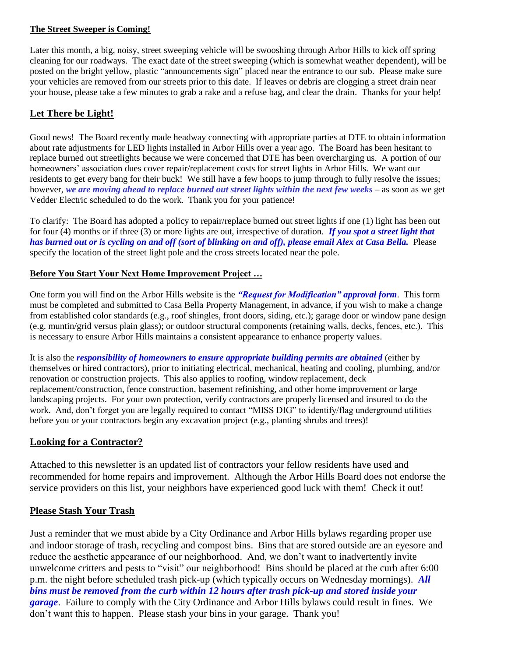### **The Street Sweeper is Coming!**

Later this month, a big, noisy, street sweeping vehicle will be swooshing through Arbor Hills to kick off spring cleaning for our roadways. The exact date of the street sweeping (which is somewhat weather dependent), will be posted on the bright yellow, plastic "announcements sign" placed near the entrance to our sub. Please make sure your vehicles are removed from our streets prior to this date. If leaves or debris are clogging a street drain near your house, please take a few minutes to grab a rake and a refuse bag, and clear the drain. Thanks for your help!

# **Let There be Light!**

Good news! The Board recently made headway connecting with appropriate parties at DTE to obtain information about rate adjustments for LED lights installed in Arbor Hills over a year ago. The Board has been hesitant to replace burned out streetlights because we were concerned that DTE has been overcharging us. A portion of our homeowners' association dues cover repair/replacement costs for street lights in Arbor Hills. We want our residents to get every bang for their buck! We still have a few hoops to jump through to fully resolve the issues; however, *we are moving ahead to replace burned out street lights within the next few weeks* – as soon as we get Vedder Electric scheduled to do the work. Thank you for your patience!

To clarify: The Board has adopted a policy to repair/replace burned out street lights if one (1) light has been out for four (4) months or if three (3) or more lights are out, irrespective of duration. *If you spot a street light that has burned out or is cycling on and off (sort of blinking on and off), please email Alex at Casa Bella.* Please specify the location of the street light pole and the cross streets located near the pole.

### **Before You Start Your Next Home Improvement Project …**

One form you will find on the Arbor Hills website is the *"Request for Modification" approval form*. This form must be completed and submitted to Casa Bella Property Management, in advance, if you wish to make a change from established color standards (e.g., roof shingles, front doors, siding, etc.); garage door or window pane design (e.g. muntin/grid versus plain glass); or outdoor structural components (retaining walls, decks, fences, etc.). This is necessary to ensure Arbor Hills maintains a consistent appearance to enhance property values.

It is also the *responsibility of homeowners to ensure appropriate building permits are obtained* (either by themselves or hired contractors), prior to initiating electrical, mechanical, heating and cooling, plumbing, and/or renovation or construction projects. This also applies to roofing, window replacement, deck replacement/construction, fence construction, basement refinishing, and other home improvement or large landscaping projects. For your own protection, verify contractors are properly licensed and insured to do the work. And, don't forget you are legally required to contact "MISS DIG" to identify/flag underground utilities before you or your contractors begin any excavation project (e.g., planting shrubs and trees)!

### **Looking for a Contractor?**

Attached to this newsletter is an updated list of contractors your fellow residents have used and recommended for home repairs and improvement. Although the Arbor Hills Board does not endorse the service providers on this list, your neighbors have experienced good luck with them! Check it out!

### **Please Stash Your Trash**

Just a reminder that we must abide by a City Ordinance and Arbor Hills bylaws regarding proper use and indoor storage of trash, recycling and compost bins. Bins that are stored outside are an eyesore and reduce the aesthetic appearance of our neighborhood. And, we don't want to inadvertently invite unwelcome critters and pests to "visit" our neighborhood! Bins should be placed at the curb after 6:00 p.m. the night before scheduled trash pick-up (which typically occurs on Wednesday mornings). *All bins must be removed from the curb within 12 hours after trash pick-up and stored inside your garage*. Failure to comply with the City Ordinance and Arbor Hills bylaws could result in fines. We don't want this to happen. Please stash your bins in your garage. Thank you!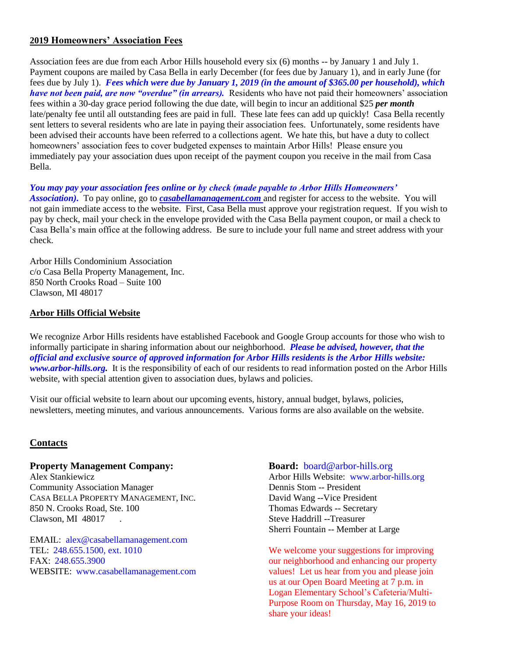# **2019 Homeowners' Association Fees**

Association fees are due from each Arbor Hills household every six (6) months -- by January 1 and July 1. Payment coupons are mailed by Casa Bella in early December (for fees due by January 1), and in early June (for fees due by July 1). *Fees which were due by January 1, 2019 (in the amount of \$365.00 per household), which have not been paid, are now "overdue" (in arrears).* Residents who have not paid their homeowners' association fees within a 30-day grace period following the due date, will begin to incur an additional \$25 *per month* late/penalty fee until all outstanding fees are paid in full. These late fees can add up quickly! Casa Bella recently sent letters to several residents who are late in paying their association fees. Unfortunately, some residents have been advised their accounts have been referred to a collections agent. We hate this, but have a duty to collect homeowners' association fees to cover budgeted expenses to maintain Arbor Hills! Please ensure you immediately pay your association dues upon receipt of the payment coupon you receive in the mail from Casa Bella.

#### *You may pay your association fees online or by check (made payable to Arbor Hills Homeowners'*

*Association).* To pay online, go to *[casabellamanagement.com](http://casabellamanagement.com/)* and register for access to the website. You will not gain immediate access to the website. First, Casa Bella must approve your registration request. If you wish to pay by check, mail your check in the envelope provided with the Casa Bella payment coupon, or mail a check to Casa Bella's main office at the following address. Be sure to include your full name and street address with your check.

Arbor Hills Condominium Association c/o Casa Bella Property Management, Inc. 850 North Crooks Road – Suite 100 Clawson, MI 48017

#### **Arbor Hills Official Website**

We recognize Arbor Hills residents have established Facebook and Google Group accounts for those who wish to informally participate in sharing information about our neighborhood. *Please be advised, however, that the official and exclusive source of approved information for Arbor Hills residents is the Arbor Hills website: [www.arbor-hills.org.](http://www.arbor-hills.org/)* It is the responsibility of each of our residents to read information posted on the Arbor Hills website, with special attention given to association dues, bylaws and policies.

Visit our official website to learn about our upcoming events, history, annual budget, bylaws, policies, newsletters, meeting minutes, and various announcements. Various forms are also available on the website.

#### **Contacts**

#### **Property Management Company: Board:** [board@arbor-hills.org](mailto:board@arbor-hills.org)

Alex Stankiewicz Arbor Hills Website: [www.arbor-hills.org](http://www.arbor-hills.org/) Community Association Manager **Dennis Stom -- President** CASA BELLA PROPERTY MANAGEMENT, INC. David Wang --Vice President 850 N. Crooks Road, Ste. 100 Thomas Edwards -- Secretary Clawson, MI 48017 . Steve Haddrill --Treasurer

EMAIL: [alex@casabellamanagement.com](mailto:alex@casabellamanagement.com)

Sherri Fountain -- Member at Large

TEL: 248.655.1500, ext. 1010 We welcome your suggestions for improving FAX: [248.655.3900](tel:(248)%20655-3900) our neighborhood and enhancing our property WEBSITE: www[.casabellamanagement.com](http://casabellamanagement.com/) values! Let us hear from you and please join us at our Open Board Meeting at 7 p.m. in Logan Elementary School's Cafeteria/Multi-Purpose Room on Thursday, May 16, 2019 to share your ideas!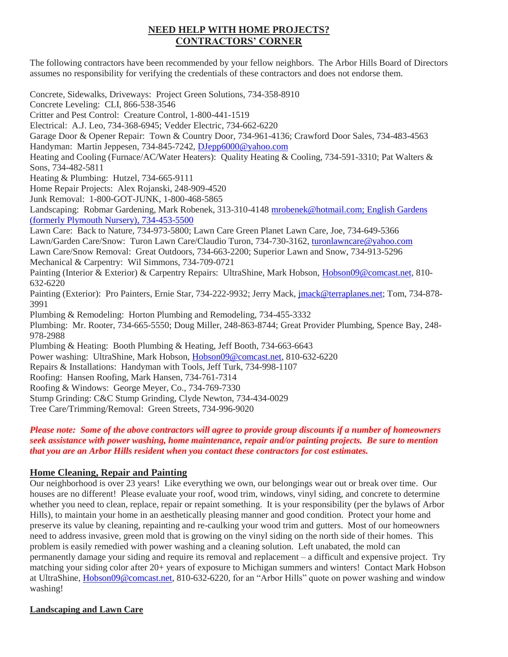# **NEED HELP WITH HOME PROJECTS? CONTRACTORS' CORNER**

The following contractors have been recommended by your fellow neighbors. The Arbor Hills Board of Directors assumes no responsibility for verifying the credentials of these contractors and does not endorse them.

Concrete, Sidewalks, Driveways: Project Green Solutions, 734-358-8910 Concrete Leveling: CLI, 866-538-3546 Critter and Pest Control: Creature Control, 1-800-441-1519 Electrical: A.J. Leo, 734-368-6945; Vedder Electric, 734-662-6220 Garage Door & Opener Repair: Town & Country Door, 734-961-4136; Crawford Door Sales, 734-483-4563 Handyman: Martin Jeppesen, 734-845-7242, [DJepp6000@yahoo.com](mailto:DJepp6000@yahoo.com) Heating and Cooling (Furnace/AC/Water Heaters): Quality Heating & Cooling, 734-591-3310; Pat Walters & Sons, 734-482-5811 Heating & Plumbing: Hutzel, 734-665-9111 Home Repair Projects: Alex Rojanski, 248-909-4520 Junk Removal: 1-800-GOT-JUNK, 1-800-468-5865 Landscaping: Robmar Gardening, Mark Robenek, 313-310-4148 [mrobenek@hotmail.com;](mailto:mrobenek@hotmail.com) English Gardens (formerly Plymouth Nursery), 734-453-5500 Lawn Care: Back to Nature, 734-973-5800; Lawn Care Green Planet Lawn Care, Joe, 734-649-5366 Lawn/Garden Care/Snow: Turon Lawn Care/Claudio Turon, 734-730-3162[, turonlawncare@yahoo.com](mailto:turonlawncare@yahoo.com) Lawn Care/Snow Removal: Great Outdoors, 734-663-2200; Superior Lawn and Snow, 734-913-5296 Mechanical & Carpentry: Wil Simmons, 734-709-0721 Painting (Interior & Exterior) & Carpentry Repairs: UltraShine, Mark Hobson, [Hobson09@comcast.net,](mailto:Hobson09@comcast.net) 810- 632-6220 Painting (Exterior): Pro Painters, Ernie Star, 734-222-9932; Jerry Mack, [jmack@terraplanes.net;](mailto:jmack@terraplanes.net) Tom, 734-878- 3991 Plumbing & Remodeling: Horton Plumbing and Remodeling, 734-455-3332 Plumbing: Mr. Rooter, 734-665-5550; Doug Miller, 248-863-8744; Great Provider Plumbing, Spence Bay, 248- 978-2988 Plumbing & Heating: Booth Plumbing & Heating, Jeff Booth, 734-663-6643 Power washing: UltraShine, Mark Hobson, [Hobson09@comcast.net,](mailto:Hobson09@comcast.net) 810-632-6220 Repairs & Installations: Handyman with Tools, Jeff Turk, 734-998-1107 Roofing: Hansen Roofing, Mark Hansen, 734-761-7314 Roofing & Windows: George Meyer, Co., 734-769-7330 Stump Grinding: C&C Stump Grinding, Clyde Newton, 734-434-0029 Tree Care/Trimming/Removal: Green Streets, 734-996-9020

#### *Please note: Some of the above contractors will agree to provide group discounts if a number of homeowners seek assistance with power washing, home maintenance, repair and/or painting projects. Be sure to mention that you are an Arbor Hills resident when you contact these contractors for cost estimates.*

### **Home Cleaning, Repair and Painting**

Our neighborhood is over 23 years! Like everything we own, our belongings wear out or break over time. Our houses are no different! Please evaluate your roof, wood trim, windows, vinyl siding, and concrete to determine whether you need to clean, replace, repair or repaint something. It is your responsibility (per the bylaws of Arbor Hills), to maintain your home in an aesthetically pleasing manner and good condition. Protect your home and preserve its value by cleaning, repainting and re-caulking your wood trim and gutters. Most of our homeowners need to address invasive, green mold that is growing on the vinyl siding on the north side of their homes. This problem is easily remedied with power washing and a cleaning solution. Left unabated, the mold can permanently damage your siding and require its removal and replacement – a difficult and expensive project. Try matching your siding color after 20+ years of exposure to Michigan summers and winters! Contact Mark Hobson at UltraShine, *Hobson09@comcast.net*, 810-632-6220, for an "Arbor Hills" quote on power washing and window washing!

### **Landscaping and Lawn Care**